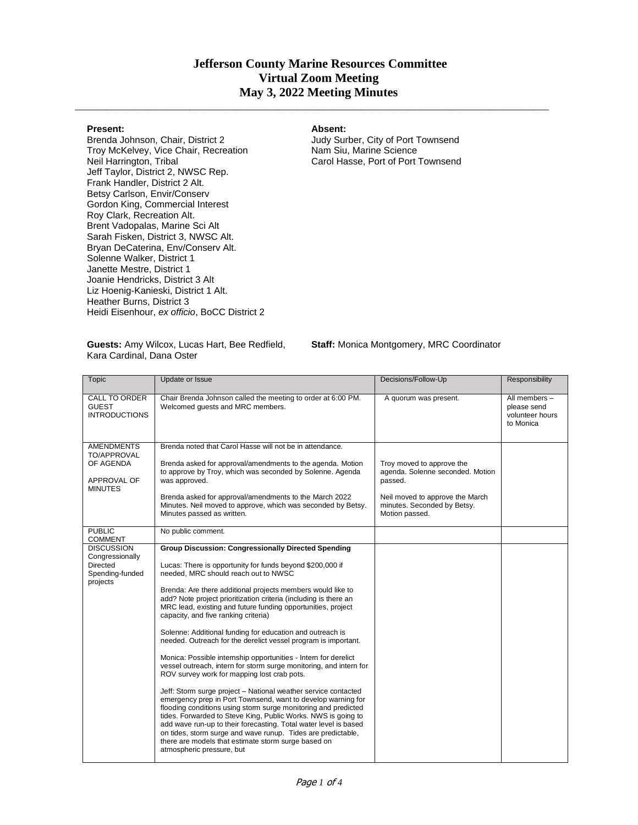## **Jefferson County Marine Resources Committee Virtual Zoom Meeting May 3, 2022 Meeting Minutes**

 $\_$  ,  $\_$  ,  $\_$  ,  $\_$  ,  $\_$  ,  $\_$  ,  $\_$  ,  $\_$  ,  $\_$  ,  $\_$  ,  $\_$  ,  $\_$  ,  $\_$  ,  $\_$  ,  $\_$  ,  $\_$  ,  $\_$  ,  $\_$  ,  $\_$  ,  $\_$  ,  $\_$  ,  $\_$  ,  $\_$  ,  $\_$  ,  $\_$  ,  $\_$  ,  $\_$  ,  $\_$  ,  $\_$  ,  $\_$  ,  $\_$  ,  $\_$  ,  $\_$  ,  $\_$  ,  $\_$  ,  $\_$  ,  $\_$  ,

## **Present:**

Brenda Johnson, Chair, District 2 Troy McKelvey, Vice Chair, Recreation Neil Harrington, Tribal Jeff Taylor, District 2, NWSC Rep. Frank Handler, District 2 Alt. Betsy Carlson, Envir/Conserv Gordon King, Commercial Interest Roy Clark, Recreation Alt. Brent Vadopalas, Marine Sci Alt Sarah Fisken, District 3, NWSC Alt. Bryan DeCaterina, Env/Conserv Alt. Solenne Walker, District 1 Janette Mestre, District 1 Joanie Hendricks, District 3 Alt Liz Hoenig-Kanieski, District 1 Alt. Heather Burns, District 3 Heidi Eisenhour, *ex officio*, BoCC District 2

## **Absent:**

Judy Surber, City of Port Townsend Nam Siu, Marine Science Carol Hasse, Port of Port Townsend

**Guests:** Amy Wilcox, Lucas Hart, Bee Redfield, Kara Cardinal, Dana Oster

**Staff:** Monica Montgomery, MRC Coordinator

| Topic                                                                                                    | Update or Issue                                                                                                                                                                                                                                                                                                                                                                                                                                                                                                                                                                                                                                                                                                                                                                                                                                                                                                                                                                                                                                                                                                                                                                                                                | Decisions/Follow-Up                                                                                                                                          | Responsibility                                               |
|----------------------------------------------------------------------------------------------------------|--------------------------------------------------------------------------------------------------------------------------------------------------------------------------------------------------------------------------------------------------------------------------------------------------------------------------------------------------------------------------------------------------------------------------------------------------------------------------------------------------------------------------------------------------------------------------------------------------------------------------------------------------------------------------------------------------------------------------------------------------------------------------------------------------------------------------------------------------------------------------------------------------------------------------------------------------------------------------------------------------------------------------------------------------------------------------------------------------------------------------------------------------------------------------------------------------------------------------------|--------------------------------------------------------------------------------------------------------------------------------------------------------------|--------------------------------------------------------------|
| <b>CALL TO ORDER</b><br><b>GUEST</b><br><b>INTRODUCTIONS</b>                                             | Chair Brenda Johnson called the meeting to order at 6:00 PM.<br>Welcomed quests and MRC members.                                                                                                                                                                                                                                                                                                                                                                                                                                                                                                                                                                                                                                                                                                                                                                                                                                                                                                                                                                                                                                                                                                                               | A quorum was present.                                                                                                                                        | All members -<br>please send<br>volunteer hours<br>to Monica |
| <b>AMENDMENTS</b><br>TO/APPROVAL<br>OF AGENDA<br>APPROVAL OF<br><b>MINUTES</b>                           | Brenda noted that Carol Hasse will not be in attendance.<br>Brenda asked for approval/amendments to the agenda. Motion<br>to approve by Troy, which was seconded by Solenne. Agenda<br>was approved.<br>Brenda asked for approval/amendments to the March 2022<br>Minutes. Neil moved to approve, which was seconded by Betsy.<br>Minutes passed as written.                                                                                                                                                                                                                                                                                                                                                                                                                                                                                                                                                                                                                                                                                                                                                                                                                                                                   | Troy moved to approve the<br>agenda. Solenne seconded. Motion<br>passed.<br>Neil moved to approve the March<br>minutes. Seconded by Betsy.<br>Motion passed. |                                                              |
| <b>PUBLIC</b>                                                                                            | No public comment.                                                                                                                                                                                                                                                                                                                                                                                                                                                                                                                                                                                                                                                                                                                                                                                                                                                                                                                                                                                                                                                                                                                                                                                                             |                                                                                                                                                              |                                                              |
| <b>COMMENT</b><br><b>DISCUSSION</b><br>Congressionally<br><b>Directed</b><br>Spending-funded<br>projects | <b>Group Discussion: Congressionally Directed Spending</b><br>Lucas: There is opportunity for funds beyond \$200,000 if<br>needed, MRC should reach out to NWSC<br>Brenda: Are there additional projects members would like to<br>add? Note project prioritization criteria (including is there an<br>MRC lead, existing and future funding opportunities, project<br>capacity, and five ranking criteria)<br>Solenne: Additional funding for education and outreach is<br>needed. Outreach for the derelict vessel program is important.<br>Monica: Possible internship opportunities - Intern for derelict<br>vessel outreach, intern for storm surge monitoring, and intern for<br>ROV survey work for mapping lost crab pots.<br>Jeff: Storm surge project - National weather service contacted<br>emergency prep in Port Townsend, want to develop warning for<br>flooding conditions using storm surge monitoring and predicted<br>tides. Forwarded to Steve King, Public Works. NWS is going to<br>add wave run-up to their forecasting. Total water level is based<br>on tides, storm surge and wave runup. Tides are predictable,<br>there are models that estimate storm surge based on<br>atmospheric pressure, but |                                                                                                                                                              |                                                              |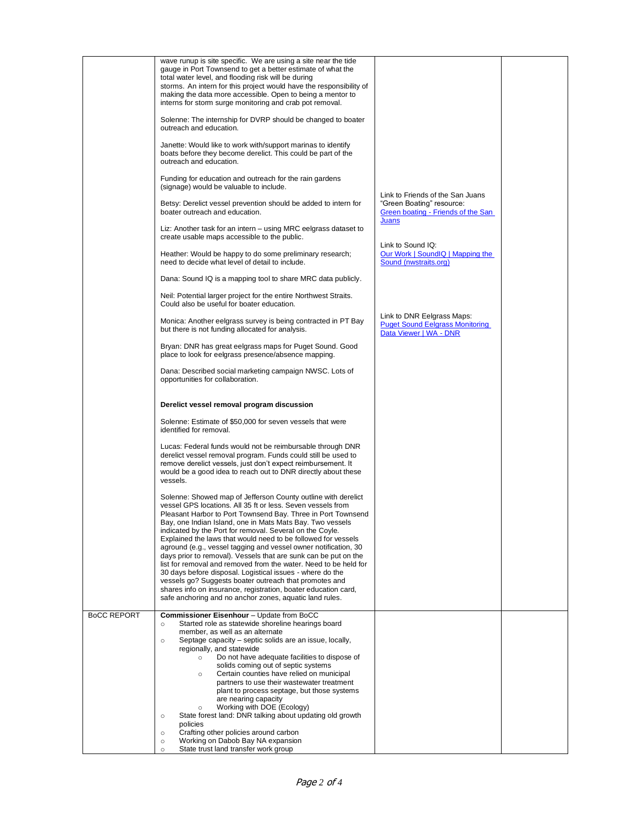|                    | wave runup is site specific. We are using a site near the tide<br>gauge in Port Townsend to get a better estimate of what the<br>total water level, and flooding risk will be during<br>storms. An intern for this project would have the responsibility of<br>making the data more accessible. Open to being a mentor to<br>interns for storm surge monitoring and crab pot removal.                                                                                                                                                                                                                                                                                                                                                                                                                                                                |                                                                                                |  |
|--------------------|------------------------------------------------------------------------------------------------------------------------------------------------------------------------------------------------------------------------------------------------------------------------------------------------------------------------------------------------------------------------------------------------------------------------------------------------------------------------------------------------------------------------------------------------------------------------------------------------------------------------------------------------------------------------------------------------------------------------------------------------------------------------------------------------------------------------------------------------------|------------------------------------------------------------------------------------------------|--|
|                    | Solenne: The internship for DVRP should be changed to boater<br>outreach and education.                                                                                                                                                                                                                                                                                                                                                                                                                                                                                                                                                                                                                                                                                                                                                              |                                                                                                |  |
|                    | Janette: Would like to work with/support marinas to identify<br>boats before they become derelict. This could be part of the<br>outreach and education.                                                                                                                                                                                                                                                                                                                                                                                                                                                                                                                                                                                                                                                                                              |                                                                                                |  |
|                    | Funding for education and outreach for the rain gardens<br>(signage) would be valuable to include.                                                                                                                                                                                                                                                                                                                                                                                                                                                                                                                                                                                                                                                                                                                                                   | Link to Friends of the San Juans                                                               |  |
|                    | Betsy: Derelict vessel prevention should be added to intern for<br>boater outreach and education.                                                                                                                                                                                                                                                                                                                                                                                                                                                                                                                                                                                                                                                                                                                                                    | "Green Boating" resource:<br>Green boating - Friends of the San                                |  |
|                    | Liz: Another task for an intern - using MRC eelgrass dataset to<br>create usable maps accessible to the public.                                                                                                                                                                                                                                                                                                                                                                                                                                                                                                                                                                                                                                                                                                                                      | Juans<br>Link to Sound IQ:                                                                     |  |
|                    | Heather: Would be happy to do some preliminary research;<br>need to decide what level of detail to include.                                                                                                                                                                                                                                                                                                                                                                                                                                                                                                                                                                                                                                                                                                                                          | Our Work   SoundIQ   Mapping the<br>Sound (nwstraits.org)                                      |  |
|                    | Dana: Sound IQ is a mapping tool to share MRC data publicly.                                                                                                                                                                                                                                                                                                                                                                                                                                                                                                                                                                                                                                                                                                                                                                                         |                                                                                                |  |
|                    | Neil: Potential larger project for the entire Northwest Straits.<br>Could also be useful for boater education.                                                                                                                                                                                                                                                                                                                                                                                                                                                                                                                                                                                                                                                                                                                                       |                                                                                                |  |
|                    | Monica: Another eelgrass survey is being contracted in PT Bay<br>but there is not funding allocated for analysis.                                                                                                                                                                                                                                                                                                                                                                                                                                                                                                                                                                                                                                                                                                                                    | Link to DNR Eelgrass Maps:<br><b>Puget Sound Eelgrass Monitoring</b><br>Data Viewer   WA - DNR |  |
|                    | Bryan: DNR has great eelgrass maps for Puget Sound. Good<br>place to look for eelgrass presence/absence mapping.                                                                                                                                                                                                                                                                                                                                                                                                                                                                                                                                                                                                                                                                                                                                     |                                                                                                |  |
|                    | Dana: Described social marketing campaign NWSC. Lots of<br>opportunities for collaboration.                                                                                                                                                                                                                                                                                                                                                                                                                                                                                                                                                                                                                                                                                                                                                          |                                                                                                |  |
|                    | Derelict vessel removal program discussion                                                                                                                                                                                                                                                                                                                                                                                                                                                                                                                                                                                                                                                                                                                                                                                                           |                                                                                                |  |
|                    | Solenne: Estimate of \$50,000 for seven vessels that were<br>identified for removal.                                                                                                                                                                                                                                                                                                                                                                                                                                                                                                                                                                                                                                                                                                                                                                 |                                                                                                |  |
|                    | Lucas: Federal funds would not be reimbursable through DNR<br>derelict vessel removal program. Funds could still be used to<br>remove derelict vessels, just don't expect reimbursement. It<br>would be a good idea to reach out to DNR directly about these<br>vessels.                                                                                                                                                                                                                                                                                                                                                                                                                                                                                                                                                                             |                                                                                                |  |
|                    | Solenne: Showed map of Jefferson County outline with derelict<br>vessel GPS locations. All 35 ft or less. Seven vessels from<br>Pleasant Harbor to Port Townsend Bay. Three in Port Townsend<br>Bay, one Indian Island, one in Mats Mats Bay. Two vessels<br>indicated by the Port for removal. Several on the Coyle.<br>Explained the laws that would need to be followed for vessels<br>aground (e.g., vessel tagging and vessel owner notification, 30<br>days prior to removal). Vessels that are sunk can be put on the<br>list for removal and removed from the water. Need to be held for<br>30 days before disposal. Logistical issues - where do the<br>vessels go? Suggests boater outreach that promotes and<br>shares info on insurance, registration, boater education card,<br>safe anchoring and no anchor zones, aquatic land rules. |                                                                                                |  |
| <b>BOCC REPORT</b> | <b>Commissioner Eisenhour</b> - Update from BoCC<br>Started role as statewide shoreline hearings board<br>$\circ$                                                                                                                                                                                                                                                                                                                                                                                                                                                                                                                                                                                                                                                                                                                                    |                                                                                                |  |
|                    | member, as well as an alternate<br>Septage capacity - septic solids are an issue, locally,<br>$\circ$                                                                                                                                                                                                                                                                                                                                                                                                                                                                                                                                                                                                                                                                                                                                                |                                                                                                |  |
|                    | regionally, and statewide<br>Do not have adequate facilities to dispose of<br>$\circ$                                                                                                                                                                                                                                                                                                                                                                                                                                                                                                                                                                                                                                                                                                                                                                |                                                                                                |  |
|                    | solids coming out of septic systems<br>Certain counties have relied on municipal<br>$\circ$                                                                                                                                                                                                                                                                                                                                                                                                                                                                                                                                                                                                                                                                                                                                                          |                                                                                                |  |
|                    | partners to use their wastewater treatment                                                                                                                                                                                                                                                                                                                                                                                                                                                                                                                                                                                                                                                                                                                                                                                                           |                                                                                                |  |
|                    | plant to process septage, but those systems<br>are nearing capacity                                                                                                                                                                                                                                                                                                                                                                                                                                                                                                                                                                                                                                                                                                                                                                                  |                                                                                                |  |
|                    | Working with DOE (Ecology)<br>$\circ$<br>State forest land: DNR talking about updating old growth<br>$\circ$                                                                                                                                                                                                                                                                                                                                                                                                                                                                                                                                                                                                                                                                                                                                         |                                                                                                |  |
|                    | policies<br>Crafting other policies around carbon<br>$\circ$                                                                                                                                                                                                                                                                                                                                                                                                                                                                                                                                                                                                                                                                                                                                                                                         |                                                                                                |  |
|                    | Working on Dabob Bay NA expansion<br>$\circ$<br>State trust land transfer work group<br>$\circ$                                                                                                                                                                                                                                                                                                                                                                                                                                                                                                                                                                                                                                                                                                                                                      |                                                                                                |  |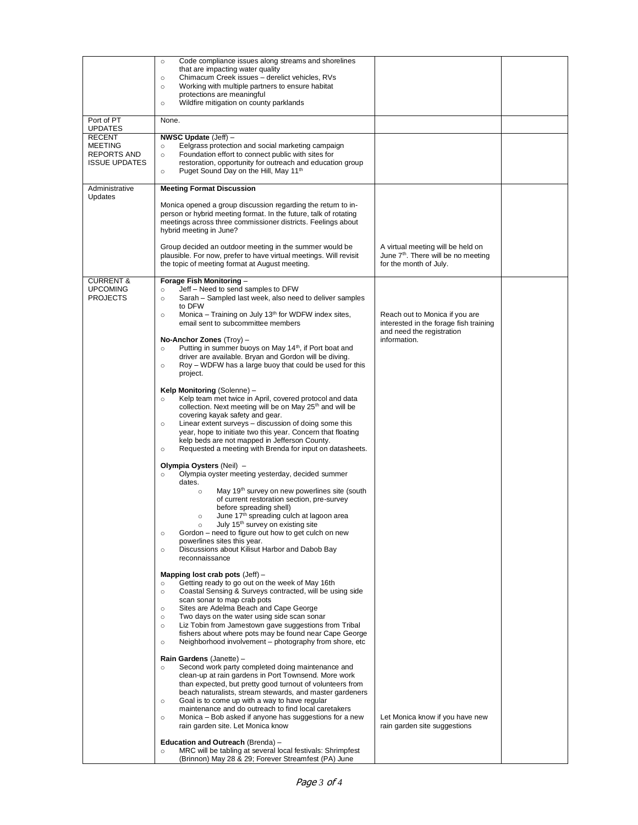|                                                              | Code compliance issues along streams and shorelines<br>$\circ$<br>that are impacting water quality                                                                                                                                                                                                                                                                                                                                                                                                                                           |                                                                                                                |  |
|--------------------------------------------------------------|----------------------------------------------------------------------------------------------------------------------------------------------------------------------------------------------------------------------------------------------------------------------------------------------------------------------------------------------------------------------------------------------------------------------------------------------------------------------------------------------------------------------------------------------|----------------------------------------------------------------------------------------------------------------|--|
|                                                              | Chimacum Creek issues - derelict vehicles, RVs<br>$\circ$<br>Working with multiple partners to ensure habitat<br>$\circ$<br>protections are meaningful<br>Wildfire mitigation on county parklands<br>$\circ$                                                                                                                                                                                                                                                                                                                                 |                                                                                                                |  |
| Port of PT                                                   | None.                                                                                                                                                                                                                                                                                                                                                                                                                                                                                                                                        |                                                                                                                |  |
| <b>UPDATES</b><br><b>RECENT</b>                              | NWSC Update (Jeff) -                                                                                                                                                                                                                                                                                                                                                                                                                                                                                                                         |                                                                                                                |  |
| <b>MEETING</b><br><b>REPORTS AND</b><br><b>ISSUE UPDATES</b> | Eelgrass protection and social marketing campaign<br>$\circ$<br>Foundation effort to connect public with sites for<br>$\circ$<br>restoration, opportunity for outreach and education group<br>Puget Sound Day on the Hill, May 11 <sup>th</sup><br>$\circ$                                                                                                                                                                                                                                                                                   |                                                                                                                |  |
| Administrative<br>Updates                                    | <b>Meeting Format Discussion</b>                                                                                                                                                                                                                                                                                                                                                                                                                                                                                                             |                                                                                                                |  |
|                                                              | Monica opened a group discussion regarding the return to in-<br>person or hybrid meeting format. In the future, talk of rotating<br>meetings across three commissioner districts. Feelings about<br>hybrid meeting in June?                                                                                                                                                                                                                                                                                                                  |                                                                                                                |  |
|                                                              | Group decided an outdoor meeting in the summer would be<br>plausible. For now, prefer to have virtual meetings. Will revisit<br>the topic of meeting format at August meeting.                                                                                                                                                                                                                                                                                                                                                               | A virtual meeting will be held on<br>June 7 <sup>th</sup> . There will be no meeting<br>for the month of July. |  |
| <b>CURRENT &amp;</b><br><b>UPCOMING</b><br><b>PROJECTS</b>   | Forage Fish Monitoring -<br>Jeff - Need to send samples to DFW<br>$\circ$<br>Sarah - Sampled last week, also need to deliver samples<br>$\circ$                                                                                                                                                                                                                                                                                                                                                                                              |                                                                                                                |  |
|                                                              | to DFW<br>Monica – Training on July 13 <sup>th</sup> for WDFW index sites,<br>$\circ$<br>email sent to subcommittee members                                                                                                                                                                                                                                                                                                                                                                                                                  | Reach out to Monica if you are<br>interested in the forage fish training<br>and need the registration          |  |
|                                                              | No-Anchor Zones $(Troy)$ -<br>Putting in summer buoys on May 14 <sup>th</sup> , if Port boat and<br>$\circ$                                                                                                                                                                                                                                                                                                                                                                                                                                  | information.                                                                                                   |  |
|                                                              | driver are available. Bryan and Gordon will be diving.<br>Roy - WDFW has a large buoy that could be used for this<br>$\circ$<br>project.                                                                                                                                                                                                                                                                                                                                                                                                     |                                                                                                                |  |
|                                                              | Kelp Monitoring (Solenne) -<br>Kelp team met twice in April, covered protocol and data<br>$\circ$<br>collection. Next meeting will be on May 25 <sup>th</sup> and will be<br>covering kayak safety and gear.<br>Linear extent surveys - discussion of doing some this<br>$\circ$<br>year, hope to initiate two this year. Concern that floating<br>kelp beds are not mapped in Jefferson County.<br>Requested a meeting with Brenda for input on datasheets.<br>$\circ$                                                                      |                                                                                                                |  |
|                                                              | Olympia Oysters (Neil) -<br>Olympia oyster meeting yesterday, decided summer<br>$\circ$                                                                                                                                                                                                                                                                                                                                                                                                                                                      |                                                                                                                |  |
|                                                              | dates.<br>May 19 <sup>th</sup> survey on new powerlines site (south<br>$\circ$<br>of current restoration section, pre-survey<br>before spreading shell)<br>June 17 <sup>th</sup> spreading culch at lagoon area<br>$\circ$<br>July 15 <sup>th</sup> survey on existing site<br>Gordon – need to figure out how to get culch on new<br>$\circ$<br>powerlines sites this year.<br>Discussions about Kilisut Harbor and Dabob Bay<br>$\circ$<br>reconnaissance                                                                                  |                                                                                                                |  |
|                                                              | Mapping lost crab pots $(Jeff)$ -<br>Getting ready to go out on the week of May 16th<br>$\circ$<br>Coastal Sensing & Surveys contracted, will be using side<br>$\circ$<br>scan sonar to map crab pots<br>Sites are Adelma Beach and Cape George<br>$\circ$<br>Two days on the water using side scan sonar<br>$\circ$<br>Liz Tobin from Jamestown gave suggestions from Tribal<br>$\circ$<br>fishers about where pots may be found near Cape George<br>Neighborhood involvement - photography from shore, etc<br>$\circ$                      |                                                                                                                |  |
|                                                              | Rain Gardens (Janette) -<br>Second work party completed doing maintenance and<br>$\circ$<br>clean-up at rain gardens in Port Townsend. More work<br>than expected, but pretty good turnout of volunteers from<br>beach naturalists, stream stewards, and master gardeners<br>Goal is to come up with a way to have regular<br>$\circ$<br>maintenance and do outreach to find local caretakers<br>Monica – Bob asked if anyone has suggestions for a new<br>$\circ$<br>rain garden site. Let Monica know<br>Education and Outreach (Brenda) - | Let Monica know if you have new<br>rain garden site suggestions                                                |  |
|                                                              | MRC will be tabling at several local festivals: Shrimpfest<br>$\circ$<br>(Brinnon) May 28 & 29; Forever Streamfest (PA) June                                                                                                                                                                                                                                                                                                                                                                                                                 |                                                                                                                |  |